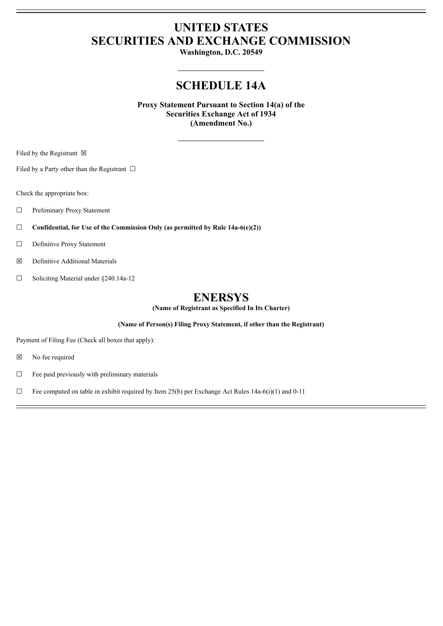# **UNITED STATES SECURITIES AND EXCHANGE COMMISSION**

**Washington, D.C. 20549**

### **SCHEDULE 14A**

**Proxy Statement Pursuant to Section 14(a) of the Securities Exchange Act of 1934 (Amendment No.)**

Filed by the Registrant  $\boxtimes$ 

Filed by a Party other than the Registrant  $\Box$ 

Check the appropriate box:

☐ Preliminary Proxy Statement

☐ **Confidential, for Use of the Commission Only (as permitted by Rule 14a-6(e)(2))**

☐ Definitive Proxy Statement

☒ Definitive Additional Materials

☐ Soliciting Material under §240.14a-12

### **ENERSYS**

**(Name of Registrant as Specified In Its Charter)**

**(Name of Person(s) Filing Proxy Statement, if other than the Registrant)**

Payment of Filing Fee (Check all boxes that apply):

☒ No fee required

☐ Fee paid previously with preliminary materials

 $\Box$  Fee computed on table in exhibit required by Item 25(b) per Exchange Act Rules 14a-6(i)(1) and 0-11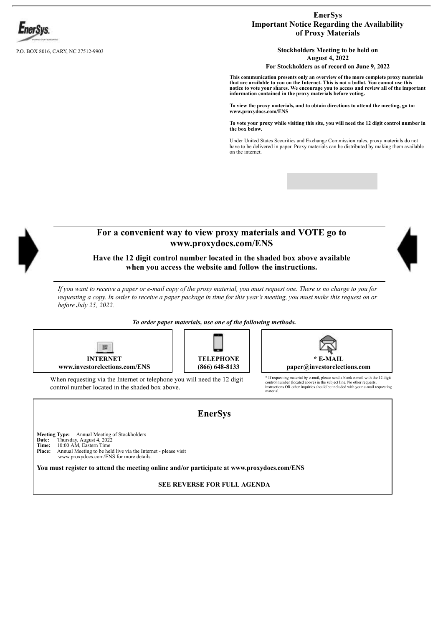

P.O. BOX 8016, CARY, NC 27512-9903

### **EnerSys Important Notice Regarding the Availability of Proxy Materials**

**Stockholders Meeting to be held on August 4, 2022**

**For Stockholders as of record on June 9, 2022**

**This communication presents only an overview of the more complete proxy materials** that are available to you on the Internet. This is not a ballot. You cannot use this<br>notice to vote your shares. We encourage you to access and review all of the important **information contained in the proxy materials before voting.**

**To view the proxy materials, and to obtain directions to attend the meeting, go to: www.proxydocs.com/ENS**

To vote your proxy while visiting this site, you will need the 12 digit control number in<br>the box below.

Under United States Securities and Exchange Commission rules, proxy materials do not have to be delivered in paper. Proxy materials can be distributed by making them available on the internet.



**Date:** Thursday, August 4, 2022<br>**Time:** 10:00 AM, Eastern Time<br>**Place:** Annual Meeting to be held live via the Internet - please visit

www.proxydocs.com/ENS for more details.

**You must register to attend the meeting online and/or participate at www.proxydocs.com/ENS**

**SEE REVERSE FOR FULL AGENDA**